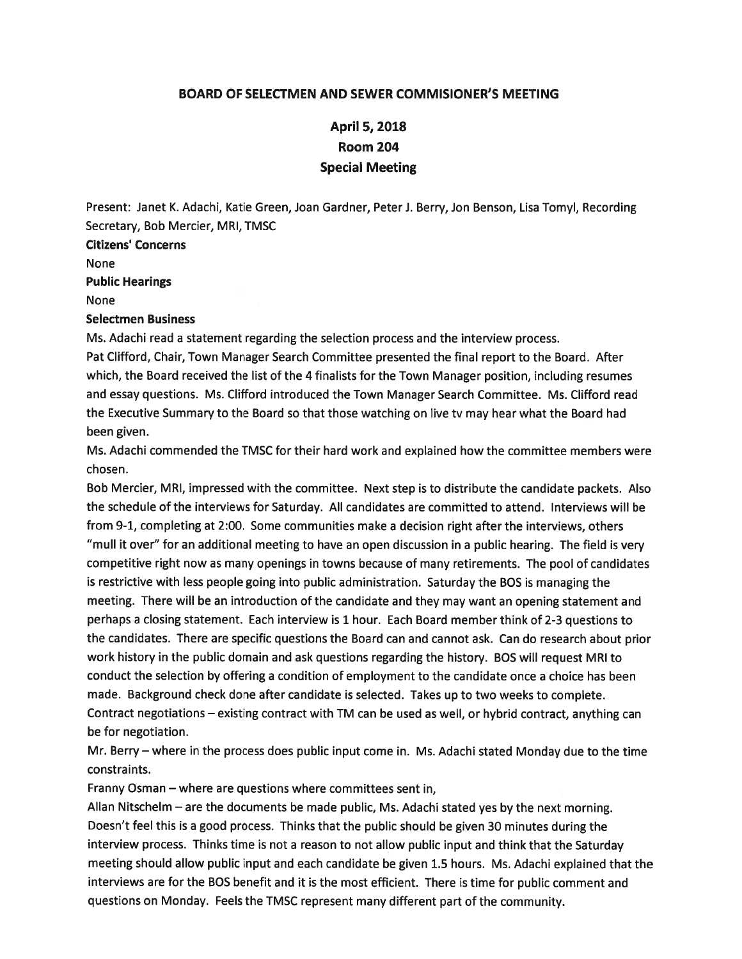## BOARD OF SELECTMEN AND SEWER COMMISIONER'S MEETING

## April 5, 2018 Room 204 Special Meeting

Present: Janet K. Adachi, Katie Green, Joan Gardner, Peter J. Berry, Jon Benson, Lisa Tomyl, Recording Secretary, Bob Mercier, MRI, TMSC

Citizens' Concerns

None

Public Hearings

None

## Selectmen Business

Ms. Adachi read <sup>a</sup> statement regarding the selection process and the interview process. Pat Clifford, Chair, Town Manager Search Committee presented the final repor<sup>t</sup> to the Board. After which, the Board received the list of the 4 finalists for the Town Manager position, including resumes and essay questions. Ms. Clifford introduced the Town Manager Search Committee. Ms. Clifford read the Executive Summary to the Board so that those watching on live tv may hear what the Board had been given.

Ms. Adachi commended the TMSC for their hard work and explained how the committee members were chosen.

Bob Mercier, MRI, impressed with the committee. Next step is to distribute the candidate packets. Also the schedule of the interviews for Saturday. All candidates are committed to attend. Interviews will be from 9-1, completing at 2:00. Some communities make <sup>a</sup> decision right after the interviews, others "mull it over" for an additional meeting to have an open discussion in <sup>a</sup> public hearing. The field is very competitive right now as many openings in towns because of many retirements. The poo<sup>l</sup> of candidates is restrictive with less people going into public administration. Saturday the BOS is managing the meeting. There will be an introduction of the candidate and they may want an opening statement and perhaps <sup>a</sup> closing statement. Each interview is 1 hour. Each Board member think of 2-3 questions to the candidates. There are specific questions the Board can and cannot ask. Can do research about prior work history in the public domain and ask questions regarding the history. BOS will reques<sup>t</sup> MRI to conduct the selection by offering <sup>a</sup> condition of employment to the candidate once <sup>a</sup> choice has been made. Background check done after candidate is selected. Takes up to two weeks to complete. Contract negotiations — existing contract with TM can be used as well, or hybrid contract, anything can be for negotiation.

Mr. Berry—where in the process does public input come in. Ms. Adachi stated Monday due to the time constraints.

Franny Osman — where are questions where committees sent in,

Allan Nitschelm — are the documents be made public, Ms. Adachi stated yes by the next morning. Doesn't feel this is <sup>a</sup> goo<sup>d</sup> process. Thinks that the public should be <sup>g</sup>iven <sup>30</sup> minutes during the interview process. Thinks time is not <sup>a</sup> reason to not allow public input and think that the Saturday meeting should allow public input and each candidate be <sup>g</sup>iven 1.5 hours. Ms. Adachi explained that the interviews are for the BOS benefit and it is the most efficient. There is time for public comment and questions on Monday. Feels the TMSC represen<sup>t</sup> many different par<sup>t</sup> of the community.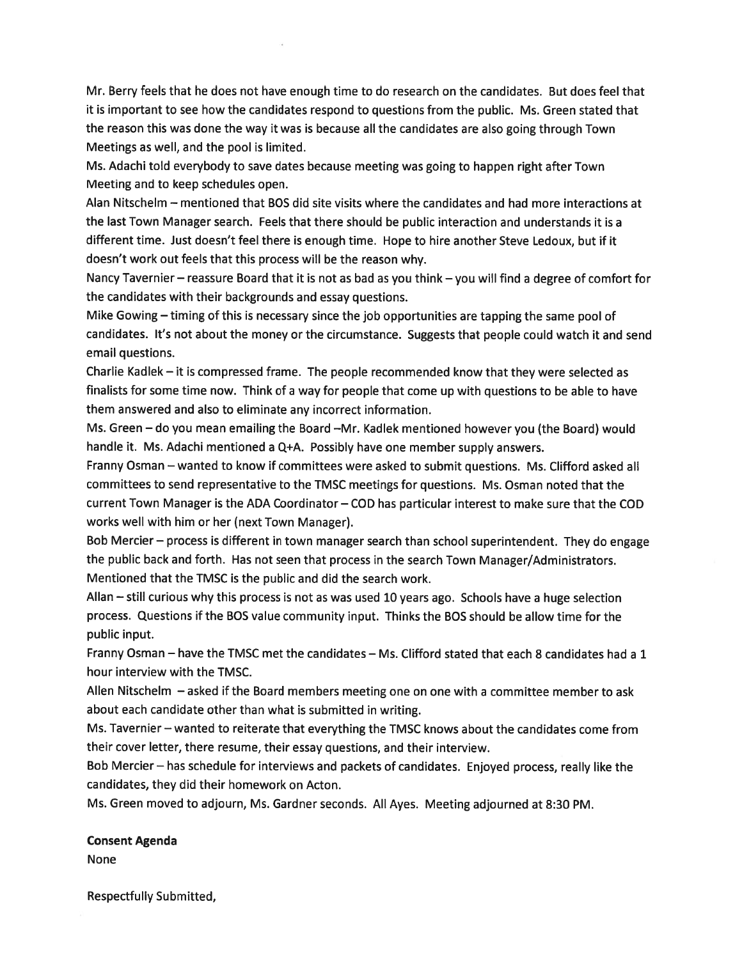Mr. Berry feels that he does not have enough time to do research on the candidates. But does feel that it is important to see how the candidates respond to questions from the public. Ms. Green stated that the reason this was done the way it was is because all the candidates are also going through Town Meetings as well, and the pool is limited.

Ms. Adachi told everybody to save dates because meeting was going to happen right after Town Meeting and to keep schedules open.

Alan Nitschelm — mentioned that BOS did site visits where the candidates and had more interactions at the last Town Manager search. Feels that there should be public interaction and understands it is <sup>a</sup> different time. Just doesn't feel there is enough time. Hope to hire another Steve Ledoux, but if it doesn't work out feels that this process will be the reason why.

Nancy Tavernier — reassure Board that it is not as bad as you think — you will find <sup>a</sup> degree of comfort for the candidates with their backgrounds and essay questions.

Mike Gowing — timing of this is necessary since the job opportunities are tapping the same poo<sup>l</sup> of candidates. It's not about the money or the circumstance. Suggests that people could watch it and send email questions.

Charlie Kadlek — it is compressed frame. The people recommended know that they were selected as finalists for some time now. Think of <sup>a</sup> way for people that come up with questions to be able to have them answered and also to eliminate any incorrect information.

Ms. Green — do you mean emailing the Board —Mr. Kadlek mentioned however you (the Board) would handle it. Ms. Adachi mentioned <sup>a</sup> Q+A. Possibly have one member supply answers.

Franny Osman — wanted to know if committees were asked to submit questions. Ms. Clifford asked all committees to send representative to the TMSC meetings for questions. Ms. Osman noted that the current Town Manager is the ADA Coordinator — COD has particular interest to make sure that the COD works well with him or her (next Town Manager).

Bob Mercier— process is different in town manager search than school superintendent. They do engage the public back and forth. Has not seen that process in the search Town Manager/Administrators. Mentioned that the TMSC is the public and did the search work.

Allan — still curious why this process is not as was used <sup>10</sup> years ago. Schools have <sup>a</sup> huge selection process. Questions if the BOS value community input. Thinks the BOS should be allow time for the public input.

Franny Osman — have the TMSC met the candidates — Ms. Clifford stated that each 8 candidates had <sup>a</sup> 1 hour interview with the TMSC.

Allen Nitschelm — asked if the Board members meeting one on one with <sup>a</sup> committee member to ask about each candidate other than what is submitted in writing.

Ms. Tavernier — wanted to reiterate that everything the TMSC knows about the candidates come from their cover letter, there resume, their essay questions, and their interview.

Bob Mercier — has schedule for interviews and packets of candidates. Enjoyed process, really like the candidates, they did their homework on Acton.

Ms. Green moved to adjourn, Ms. Gardner seconds. All Ayes. Meeting adjourned at 8:30 PM.

## Consent Agenda

None

Respectfully Submitted,